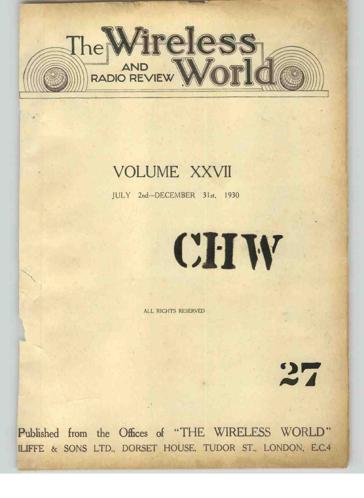

# VOLUME XXVII

JULY 2nd-DECEMBER 31st, 1930



ALL RIGHTS RESERVED



Published from the Offices of "THE WIRELESS WORLD" ILIFFE & SONS LTD., DORSET HOUSE, TUDOR ST., LONDON, E.C.4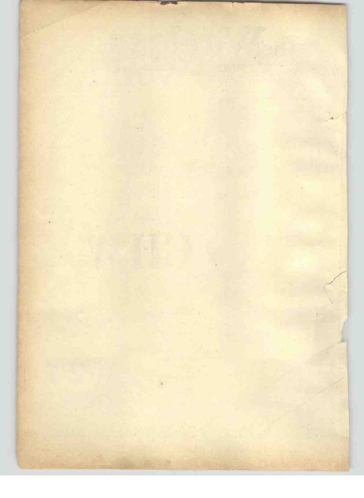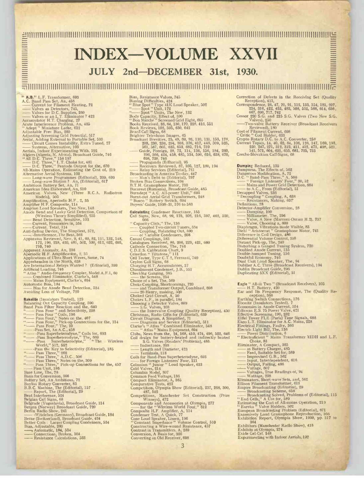**THE REAL PROPERTY AND INTE** INDEX-VOLUME XXVII JULY 2nd -DECEMBER 31st, 1930. --,--1- Correction of Defects in the Receiving Set (Quality<br>
Reception), 413,<br>
Correspondence, 26, 47, 70, 91, 112, 133, 154, 181, 207,<br>
234, 316, 422, 453, 483, 508, 532, 588, 614, 636,<br>
067, 696, 717, 742<br>
Cossor 220 S.G. and 21 **A.B.**<sup>*N.*</sup> L.F. Transformer, 693<br>A.C. Band Pass Set, An, 458<br>
— Current for Filament Heating, 72<br>
— Valves as Detectors, 745,<br>
— Valves for D.C. Supplies, 260<br>
— Valves or an L.T. Eliminator ? 423<br>
Accumulator H.T. Char Bias, Resistance Values, 745<br>Biasing Difficulties, 424<br>" Blue Spot " Type 41K Loud Speaker, 502<br>" Spot " Unit, 172 "---- Spot " Units, The New, 132<br>Body Capacity, Effect of, 590 "Bon Marché" Screened Grid Eight, 605<br>
"Books Received, 38, 64, 130, 170, 226, 416, 551<br>
Book Reviews, 102, 595, 630, 642<br>
Brazil Call Signs, 68<br>
Brighter Television Images, 65<br>
Broadcast Brevities, 25, 49, 69, 93, 110, 1 ----Two-valve Battery Receiver (Broadcast Receivers<br>
Cost of Filament Current, 608<br>
Cost of Filament Current, 608<br>
"Critic " Coil Holder, 633<br>
Current Topics, 14, 40, 4.C. Converter, 258<br>
Current Topics, 14, 40, 42, 84, 10 "Adept "Ministature Lathe, 612<br>
Adjustable Free Bias, 260<br>
Adjustable Free Bias, 260<br>
Adjustable Free Bias, 260<br>
Aretial, Adding External to Portable Set, 510<br>
Christian Carrier Set Point Carrier (1792<br>
Systems, Alternati **Damping Reduced, 135**<br>Dampness, The Effects of, 562<br>Dangerous Modification, A, 72<br>D.C. "Band-Pass Three," A, 506<br>" "Foreign Listeners" Four," 30, 52<br>— Mains and Power Grid Detection, 684<br>— to A.C., From (Editorial), 51<br>De --- Man's Debt to (Editorial), 297 Broken Bias Connections, 104 B.T.H. Gramophone Motor, 710<br>Bucarest (Rumania), Broadcast Guide, 485<br>Bucarest (Rumania), Broadcast Guide, 485<br>Burnt-out Aerial Grid Transformers, 248 "Decoupling "Coupling, A, 638<br>
Definitions, 78<br>
Definitions, 78<br>
Detecto-Amplifier Conversion, 28<br>
Detecto-Amplifier Conversion, 28<br>
— Damping, 100<br>
— Valve, A New (Marconi-Osrain H.2), 737<br>
— Valve, Choosing a, 600<br>
Diph " Busco " Battery Switch, 694<br>Buyers' Guide, 1930–31, 576 to 583 **Call Signs, New, 68, 99, 175, 202, 216, 307, 402, 520, 201, 307, 402, 520, 402, 608, 90, 175, 202, 216, 307, 402, 520, 402, 600 (Variety Click, The Coupling, Ralancing Out, 500 (Variet) Condensers, 208<br>
Casual Coupling,** Distant Pick-up, The, 240<br>Disturbiug a Ganged Tuniug System, 720<br>Doubled Anode Current, 135 Double -humped Tuning, 156 Doubtful Economy, 746 Dual Unit Loud Speaker, The, 94 Dubilier A.C. Three (Broadcast Receivers), 194 Dublin Broadcast Guide, 296 Duplicating 5XX (Editorial), 51 Eagle "All-in Two" (Broadcast Recelvers), 105<br>
— H.T. Battery, 420<br>
Ear and Its Frequency Response, The (Quality Reception), 368<br>
Earthing Switch Connections, 176<br>
Eoromies in Anode Current, 534<br>
Edonies in Anode Current, - Bias for Anode Bend Detection, 534 Avoiding Loss of Voltage, 720 Bakelite (Insulators Tested), 129 Chokes L.F., in parallel, 184 Choosing a Detector Valve, 609 - S.G. Valves, 103 - the Intervalve Coupling (Quality Reception), 450 Christmas, Radio Gifts for (Editorial), 639 Circuit Diagram, A Simplified, 71 - Diagrams and Service (Editorial), 511 Clarke's " Atlas " Combined Eliminator, 548 Balancing Out Capacity Coupling, 500<br>
"Sand Pass Filter Reaction and the, 640<br>
"Sas Four " and Selectivity, 298<br>
"Sas Four" Coils, 196<br>
"Sas Four," Notes on the, 407<br>
"Sas Four," Phe, 10<br>
"Sas Four," Pick-up Connections fo Electrical Fittings, Faulty, 366<br>
Electrical Epit II, The, 136<br>
"Electroficient" Mains Transformer 41DH and L.F.<br>
"Electroficient" Mains Transformer 41DH and L.F.<br>
Choke, 83<br>
Eliminator, A Compact, 365<br>
— Feed, Suitable Se <sup>1</sup> Atlas " Mains Equipment, 694 **Clubs, News from the, 24, 168, 410, 474, 496, 522, 646 Clubs**, News from the, 24, 168, 410, 474, 496, 522, 646 Coil design for battery -heated and indirectly heated S.G. Valves (Readers' Problems), 486 - - Inductance, 398 - Length and Diameter, 423 -- Terminals, 113 Coils for Band -Pass Superheterodyne, 693 - for Foreign Listeners' Four, 111 Colassion " Junior " Loud Speaker, 633 Cold Valves, 214 Columbia Model, 307 Common Feed Voltage, 136 Compact Eliminator, A, 365 Comparative Tests, 423 Competition, Olympia Show (Editorial), 237, 268, 300, - Report, The (Editorial), 29<br>Beat Interference, 524 487, 542 Competitions, Manchester Set Construction (Prize Winners), 472 Components and Accessories at Olympia, 277 Belgian Call Signs, 68<br>Belgrade (Yugoslavia), Broadcast Guide, 114<br>Bergen (Norway) Broadcast Guide, 720<br>Berlin Radio Show, 241 For the "Wireless World Four," 612<br>Composite H.P. Amplifier, A, 114<br>Condenser Test, A Quick, 77<br>Condenser Test, A Quick, 77<br>Conce Loud Speaker, Lissen, 196<br>Constructing a Wire-wound Resistance, 457<br>Contrast in Transmitters - -Witzleben (Germany), Broadcast Guide, 184 Co<br>Berne (Switzerland), Broadcast Guide, 424 Co Better Coils : Larger Coupling Condensers, 534<br>Bias, Adjustable, 260<br>- Adjustable, 184, 534<br>- Automatic, 184, 534<br>- Connections, Broken, 104<br>- Resistance Calculations, 533 <sup>364</sup> Exhibitors (Manchester Radio Show), 418 Exhibits at Olympia, 274 Exide Gel-Cel, 548 Experimenting with Indoor Aerials, 192

3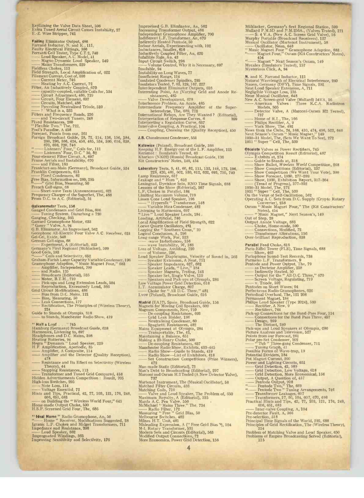Explaining the Valve Data Sheet, 596 Extra Tuned Aerial Circuit Causes Instability, 27 E. -Z. Wire Stripper, 741 Falling Eliminato Output, 486<br>
Farrand Inductor, N. and K., 111,<br>
Faulty Electrical Fittings, 366<br>
Ferrand Cell Tester, Type C.T.2, 740<br>
— Loud Speaker, A.C. Model, 41<br>
— Magno-Dynamic Loud Speaker, 540<br>
Fieldless Chokes, Frankfurt-am-Main (Germany), Broadcast Guide, 534 Labor<br>
Franklin Components, 613<br>
Free Bias, Information on, 200, 205<br>
Free Bias, Information on, 200, 205 Leaks<br>
"Crid Bias, Measuring, 50 Lenin<br>
Freench Call-signs, 68 Les Gadvanometer Tests, 156 Gangel Condenses and Grid Bias, 606<br>
Tuning System. Disturbing a 720<br>
Ganging, Checking, 365<br>
Ganging, Checking, 365<br>
Candar Canapohone Motor, 633<br>
Cocal Geophone All-Electric Four Valve A.C. Recelver, 624<br>
Cecophone All-S " Halt a Loaf . . ." 745 Hamburg (Germany) Broadcast Guide, 638<br>Harmonics, Listening to, 697<br>Headphones and D.C. Mains, 398<br>Heating Batteries, 94<br>Herra "Dynamik" Loud Speaker, 220<br>H.F. Amplification, Aperiodic, 35<br>— Amplifier, A Composite, 114<br>— A - Resistance and Its Effect on Selectivity (Wireless Theory), 44 - Stopping Resistances, 113 - Transformer and Tuned Grid Compared, 458 Hidden Advertisements Competition : Result, 705 High -loss Switches, 295 - Note Loss, 114 - Voltage Essential, 72 Hints and Tips, Practical, 42, 77, 103, 121, 170, 248, 606, 651, 683 - on Building the " Wireless World Four," 643 Home-made Output Choke, 590 H.S.P. Screened Grid Four, The, 686

" Ideal Home " Radio Gramophone, An. 50<br>
"- Home" "Receiver, Modifications Suggested, 28<br>
Igranic L.F. Chokes and Midget Transformers, 711<br>
Mislea<br>
Impregnated Windings, 365<br>
The Model Improving Sensitivity and Selectivity

Improvised G.B. Eliminator, An, 562 Increasing Transformer Output, 486 Independent Gramophone Amplifier, 700 Indirect L.F. Transformer, An, 670<br>
Indirectly Heated Pentode, 50<br>
Inductances, Smaller, 616<br>
Inductances, Smaller, 616<br>
Inductances, Smaller, An, 670<br>
Inductances, Smaller, An, 670<br>
Includible Rule, An, 670<br>
Instability C International Relays, Are They Wanted ? (Editorial),<br>
Interpretation of Response Curves, 6<br>
Intervalve Coupling, A Practical, 104<br>
Intervalve Coupling, A Practical, 104<br>
- Coupling, Choosing the (Quality Reception), 450<br>
-J.B. Chassimount Condenser, 551 Katowice (Poland), Broadcast Guide, 366<br>Keeping H.F. Energy out of the L.F. Amplifier, 125<br>Keramot : Insulators Tested, 63<br>Kharkov (NK02) (Russia) Broadcast Guide, 136<br>Kit Constructors' Notes, 149, 454 Laboratory Tests, 9, 41, 60, 82, 111, 132, 148, 172, 196, 228, 420, 481, 502, 530, 612, 632, 693, 710, 740 Lamp Resistance, 637<br>
Leakage and " Hum ", 652<br>
Leningrad, Dyetskoe Selo, RNO Time Signals, 688 Lessons of the Show (Editorial), 367<br>
L.F. Chokes in Parallel, 184<br>
L.F. Chokes in Parallel, 184 Limiting Maximum Volume, 719 Lissen Cone Loud Speaker, 196 - " Hypernik " Transformer, 1.18 - Variable Mica Condenser, 482 Listening to Harmonics, 697 " Live " Loud Speaker Leads, 184 , Loading, Artificial, 746 Local Amplification of Field Strength, 622 Loewe Quartz Oscillators, 441 Logging the " Southern Cross," 20 Logical Conclusion, A, 296 Long-range Work, For, 533 --- -wave Inductances. 156 - wave Instability, 77, 183 Loss of Voltage, Avoiding, 720 - of Volume, 236, Loud Speaker Diaphragms, Velocity of Sound in, 503 - Speaker Extension, A Neat, 711 - Speaker Impedance, 627, 662 - Speaker Leads, " Live," 184 -- Speaker Magnets, Testing, 143 Speaker Set, Single Valve, 119 - Speakers and Pick-ups at Olympia, 286 Low Voltage Power Grid Detection, 618 L.T. Accumulator Charge, 697 - Choke for " All D.C. Three," 481 Lvov (Poland), Broadcast Guide, 616 Madrid (EAJ7), Spain, Broadcast Guide, 156<br>Magnets for Moving Coil Speakers, 600<br>Magnum Components, New, 710<br>— De-coupling Resistances, 603<br>
— Grid Leak Holder, 196<br>— Spaghetti Resistances, 482<br>— Spaghetti Resistances, 482 - De -coupling Resistances, 637 Manchester Radio Show, Exhibits, 433-445 - Radio Show -Guide to Stands, 419 - Radio Show -List of Exhibitors, 418 Set Construction Competitions (Prize Winners),<br>472<br>Man-made Static (Editorial), 73<br>Man's Debt to Broadcasting (Editorial), 297 Marconi and Osram H.2 Tested (A New Detector Valve),<br>
Martenot Instrument, The (Musical Oscillator), 58<br>
Matched Filter Circuits, 486<br>
Matching Coils, 719<br>
— Valve and Loud Speaker, The Problem of, 650<br>
— Maximum Royalty, McMichael "Mains Three," The, 734<br>
— Radio Filter, 172<br>
Measuring "Free " Grid Blas, 50<br>
Melbourne Switches, 482<br>
Milnes H.T. Unit, 481<br>
Misleading Expression, A ("Free Grid Bias "), 104<br>
Pr McMer Transformer, 581<br>
McMer S

Mühlacker, Germany's first Regional Station, 599<br>
Muhlacker, Germany's first Regional Station, 599<br>
Muhlar P.M.5.D and P.M.256A., (Valves Tested), 171<br>
Murphy Portable (Broadcast Receivers), 127<br>
Murphy Portable (Broadcast N. and K. Farrand Inductor, 111<br>Natural Wavelength of Electrical Interference, 260<br>Nauen, Germany (DFY), Time Signals, 292<br>Neat Loud Speaker Extension, A, 711<br>Negligible Voltage Loss, 155<br>Neon Musical Oscillator, 648 New A.C. Screen -grid Valve (Mullard) 54VA, 16 - American Valves : Three R.C.A. Radiotron Models, 505 - Detector Valve, A (Marconi-Osram I-12 Tested), <sup>737</sup> —— Home of R.I., The, 166<br>
—— Philps Rectifier, A, 9<br>
—— York Show, The, 492<br>
News from the Clubs, 24, 168, 410, 474, 496, 522, 646<br>
News from the Clubs, 24, 168, 410, 474, 496, 522, 646<br>
Next Season's Osram "Music Magnet, **Obsolet Values as Power Rectifiers, 745**<br>
Olympia Competition Result (Editorial), 487<br>  $\overline{ }$  Exhibits at, 274<br>  $\overline{ }$  Exhibits at, 274<br>  $\overline{ }$  Exhibits at, 274<br>  $\overline{ }$  Show Ballot, *Wieless World* Competition, 268<br> **Cut of Step, 28**<br>
Out of Step, 28<br>
Output Anode Voltage, 683<br>
--- Connections, Modified, 72<br>
--- Transformer Alterations, 156<br>
--- Transformer Alterations, 156<br>
Over-brilliant Reproduction, 638 Parallel Feed Choke, 616<br>Paris-Eiffel Tower (FLE), Time Signals, 688<br>—— Show, 463 Parlophone Sound-Test Records, 738<br>Parmeko L.F. Transformers, 9<br>Pentode and Power Output, The, 79<br>Tentode and Power Output, The, 79<br>The Indirectly Heated, 50<br>The Coutput for the "All-D.C. Three," 670<br>The Coreal of Markey, Permanent Magnet, 184<br>
Philips Loud Speaker (Type 2024), 530<br>
Rectifier, A New, 9<br>
Rectifiers, 744 Pick-up Connections for the Band-Pass Four, 114<br>
— Connections for the Band Pass Three, 457<br>
— Design, 260<br>
— The Distant, 240<br>
— Pick-ups and Loud Speakers at Olympia, 280<br>
Pick-ups and Loud Speakers at Olympia, 280<br>
Pict Pot Magnet Current, 260<br>
Power and Lighting Circuits, 651<br>
— Grid Detection, 12, 589<br>
— Grid Detection, 12, 589<br>
— Grid Detection, More Economical, 156<br>
— Output, A Question of, 457<br>
— Pentode Oruput, 208<br>
— Pentode Two, " Inter -valve Coupling, A, 104 Pre -detector Fault, A, 366 Pre -selection, 518 The detector Fault, A, 366<br>Pre-detector Fault, A, 366<br>Pre-selection, 518<br>Principles of Grid Rectification, The (Wireless Theory),<br>Principles of Grid Rectification, The (Wireless Theory), Problem of Matching Valve and Loud Speaker, 650<br>Problem of Matching Valve and Loud Speaker, 650<br>Problems of Empire Broadcasting Solved (Editorial),<br>115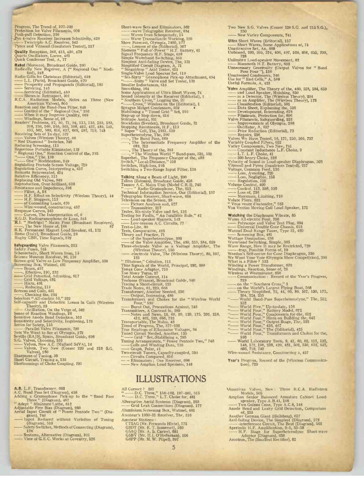Progress, The Trend of, 377-392<br>Protection for Valve Filaments, 606<br>Push-pull Detection, 296<br>Pye 4-valve Receiver Increases Selectivity, 638<br>Pyrex and Vitreosil (Insulators Tested), 227<br>Pyrex and Vitreosil (Insulators Test Quality Reception, 368, 413, 450, 478 Quartz Oscillators, Loewe, 481 Quick Condenser Test, A, 77 Rabat (Morocco), Broadcast Guide, 260<br>Radically New Regeiver, A (" Regional One " Modified), 248<br>Radio Gifts for Christmas (Editorial), 639<br>L.L. (Paris), Broadcast Guide, 670<br>Prosperity and Propaganda (Editorial), 185<br>Servicing, 145 Servicing (Editorial), 459<br>
Shows in Retrospect, 301<br>
R.C.A. Radiotron Models, Notes on Three (New "Southern Cre American Valves), 505<br>
Acadion and the Band-Pass Filter, 640<br>
— Control of the "Regional One," 295<br>
— When it may Improve Quality, 669<br>
— Windings, Sense of, 28<br>
Readers' Problems, 27, 50, 71, 94, 113, 135, 155, 183, 58;<br> Replacing Old Valves, 589<br>Reproduction, Over -brilliant, 638<br>Resistance and Impedance, 398<br>—— Filter, A, 28 H.F. Effect on Selectivity (Wireless Theory), 44 Telegre<br>H.F. Stoppers, 113 —— of Connecting Leads, 670<br>—— Wire wound, constructing, 457<br>Response Curves, 163 Curves, The Interpretation of, 6<br>
R.G.D. Radiogramophone de Luxe, 545<br>
R.I. "Madrigal "Mains Four (Broadcast Receivers),<br>
Test. The New Home of, 166<br>
R.K. Permanent Magnet Loud Speaker, 61, 172<br>
Rome (Italy), Broadcast Gui **Safeguarding** Valve Filaments, 223<br>Safety Fuses, 745<br>Schenectady, Short Waves from, 15<br>Science Museum Recelver, 96, 116 Screen -grid Valve as Low Frequency Amplifier, 536 Screening Box, Watmel, 481<br>
Screening Box, Watmel, 481<br>
Screening Box, 457<br>
Boxes, 457<br>
Crid Voltage, 651<br>
Crid Voltage, 651 Tot<br>
Crid Voltage, 651 Tot<br>
Crid Voltage, 651<br> (113), Reducing, 113<br>Screens and Coils, 651 - , Checking the, 254<br>Selectors " All -electric 55," 222 Self-capacity and Dielectric Losses in Coils (Wireless Theory), 22 -Oscillation, On the Verge of, 562 Sense of Reaction Windings, 28 Sensitive Anode Bend Detection, 103 Sensitivity and Selectivity, Improving, 176<br>
Sensitivity and Selectivity, Improving, 176<br>
The Consider Care of Section<br>
Sets We Want to See at Olympia, 272<br>
Sets We Want to See at Olympia, 272<br>
S.G. Valves, Choosing, 103<br>

- 
- A.B. L. F. Transformer, 693<br>A.C. Band Pass Set (Diagram), 458<br>Adding a Gramophone Pick-up to the "Band Pass "<br>Three " (Diagram), 457
- 
- 
- 
- "Adept "Miniature Lathe, 612<br>Adjustable Free Bias (Diagram), 260<br>Aerial Input Circuit of "Fower Pentode Two" (Dia-<br>marteur ann), 746<br>Input Reduced without Variation of Tuning<br>(diagram), 510<br>--- Safety Switches, Methods of
- Systems, Alternative (Diagram), 103 View of G.E.C. Works at Coventry, 128
- 

Short-wave Sets and Eliminators, 562 - -wave Telegraphic Receiver, 634 Waves from Schenectady, 15 - Wave Transatlantic Working, 120 Show Forecast, Olympia, 1930, 277 -, Lessons of the (Editorial), 367 Siemens " Full -o' -Power " H.T. Battery, 61 Signal Frequency B.F. Stage, 638 Simple Waveband Switching, 365 Simplest Anti -fading Device, The, 372 Simplified Circuit Diagram, A, 71 " Singaldrop " Acid Tester, 612 Single -Valve Loud Speaker Set, 119 " Six -Sixty " Gramophone Pick-up Attachment, 694 "- -Sixty " Valve and Set Tester, 132 Smaller Inductances, 616 Smoothing, 564<br>
Sound Intensity at the Receiver (Editorial), 1<br>
Sound Intensity at the Receiver (Editorial), 1<br>
"Southern Cross," Microscopter (Editorial), 1<br>
"Southising a "1 med Grid Set, 295<br>
Stabilising a "1 med Grid" The Theory of the, 393<br>
"The Wireless World " Band-pass, 512, 552<br>
Superhet., The Frequency Charger of the, 488<br>
Switch," Local-Distance," 510<br>
" Switches, High-loss, 295<br>Switching a Two-Ra<mark>nge Input Filter, 1</mark>36 Talking Along a Beam of Light, 290<br>
Talinn (Estonia), Broadcast Guide, 458<br>
Tannov A.C. Mains Unit (Model C.R. 2), 740<br>
"----" Radio Gramophone, The, 253<br>
Technical Information Service, Our (Editorial), 137<br>
Technical Inf " Tiltatone," Celestion, 111<br>Time Signals of the World, Principal, 292, 688<br>Tonax Cone Adaptor, 710<br>Too Many Turns, 27<br>Total An**ode Current, 114** Toulouse (France), Broadcast Gulde, 590<br>
Tracing a Short-cricuit, 135<br>
Tracing Mother Needed, 236<br>
Tracing Mother Needed, 236<br>
Transformers, Another Needed, 236<br>
Transformers and Chokes for the "Wireless World<br>
Transformer  $\begin{array}{ll}\n\text{``}\longrightarrow&\text{Grid'' Set, Stabilising a, } 295 \\
\text{Tuning Arrangements, ``Power Pentode Two''}, 746 \\
\hline\n\text{...} &\text{Graph, Polar, 41} \\
\hline\n\text{Two-circuit Tuners, Capactly-coupled, 534} \\
\hline\n\text{Two-circuit Tuners, Capactly-coupled, } 534\n\end{array}\n\quad\text{Wi}\n\begin{array}{ll}\n\text{Wi}\longrightarrow&\text{Neu}\longrightarrow&\text{Neu}\longrightarrow&\text{Neu}\longrightarrow&\text{Neu}\longrightarrow&\text{Neu}\longrightarrow&\text{Neu}\longrightarrow&\text{Neu}\longrightarrow&\text{Neu}\longrightarrow&\text$ 

## ILLUSTRATIONS

All Correct ? 307<br>" — D.C. Three," 158-162, 197-201, 315<br>" — D.C. Three," L.T. Choke for, 481 Alternative Aerial Systems (Diagram), 103<br>
—— Grid Leak Connections (Diagram), 177 Aluminium. Screening Box, Watmel, 481 Amateur's 1930-31 Receiver, The, 316

Amateur Stations :<br>
CT2AG (Mr. Fernando Hinte), 175<br>
G2DT (Mr. E. T. Somerset), 520<br>
G5AQ (Mr. A. L. Carter), 681<br>
G5BY (Mr. M. W. Pilpel), 397<br>
G6PP (Mr. M. W. Pilpel), 397

Two New S.G. Valves (Cossor 220 S.G. and 215 S.G.),<br>250<br>Wew Varley Components, 741 - New Varley Components, 741 Ultra Short Waves (Editorial), 157 - Short Waves, Some Applications of, 74 Unattractive Set, An, 669 Unbiased, 293, 305, 374, 406, 497, 526, 608, 655, 709,<br>Unlimitex Loud-speaker Movement, 82 - Mammoth H.T. Battery, 632 Unnecessary Generosity (Output Valves for " Band Pass Four "), 136 Unscreened Condensers, 746<br>Use for " End Cells," A, 589<br>Useful Formula, A, 423 **Valve** Amplifier, The Theory of the, 460, 558, 584, 650<br>  $\longrightarrow$  and Loud Speaker, Matching, 650<br>  $\longrightarrow$  as a Detector, The (Wireless Theory), 204<br>  $\longrightarrow$  as an Amplifier, The (Wireless Theory), 173<br>
Classification (Editorial), - Price Reduction (Editorial), 73<br>- Repairs, 236<br>Valves We Have Tested, 16, 171, 250, 505, 737 Variably Coupled Filters, 652<br>
Variey Components, Two New, 741<br>
— L.T. L.F. Choke, 4<br>
— 300-henry Choke, 4<br>
— 300-henry Choke, 428<br>
Vietocity of Sound in Loud-speaker Diaphragms, 503<br>
Vietocity of Sound in Loud-speaker Dia  $\frac{\text{Costrol}}{\text{Loss of } 236}$ —— Maximum, Limiting, 719<br>Volute Pliers, 632<br>" Vous venez d'entendre," 523<br>Vox Veritas Moving Coil Loud Speaker, 172 Watching the Diaphragm Vibrate, 85<br>
Wates All-electric Four, 700<br>
— Polyscope and Valve Test Plug, 694<br>
— Universal Double Cone Chassis, 613<br>
— Universal Double Cone Chassis, 613<br>
— Mattage Dial Range Tuner, Type 31, 420<br> ----- trap, Possible Forms of, 19<br>Weedon's Self-centre for Cone Diaphragms, 530<br>We Want Your Vote (Olympia Show Competition), 300<br>What is a Filter ? 533<br>Winding a Power Transformer, 670<br>Windings, Reaction, Sense of, 28<br>Wir Communication : Record of the Year's Progress, <sup>729</sup> ---- on the " Southern Cross," 1<br>---- on the World's Largest Flying Boat, 568<br>----- Theory Simplified, 22, 44, 66, 89, 107, 150, 173,<br>204, 224, 255 World Band-Pass Superheterodyne," The, 512, 552 " World Four," Battery Model, 672 "- World Four," Components for -the, 612 " World Four," Hints on Building the, 643 " World Four," Output Stage, The, 533 " - World Four," 426, 467 World Four," The (Editorial), 425 " World Four," Transformers and Chokes for the, <sup>530</sup> - World Laboratory Tests, 9, 41, 60, 82, 111, 132, 148, 172, 196, 228, 420, 481, 502, 530, 612, 632, 693, 710, 740 Wire -wound Resistance, Constructing a, 457

Year's Progress, Record of the (Wireless Communication), 729

'American Valves, New: Throe R.C.A. Radiotron Models, 505 Amplion Senior Balanced Armature Cabinet Loud- speaker, Type A.B.41, 148

—Two Guinea Cone, Type A.C.8, 148<br>Anode Bend and Leaky Grid Detection, Comparison<br>Another German Giant (Heilsberg), 657<br>Anti-fading Device, The Simplest (Diagram), 372

- -interference Circuit, The Best (Diagram), 562 Aperiodic H.F. Amplification, 2-5, 35-38 - H.F. Stage for Superheterodyne Short-wave Adaptor (Diagram), 638 Arcotron, The (Smallest Rectifier), 62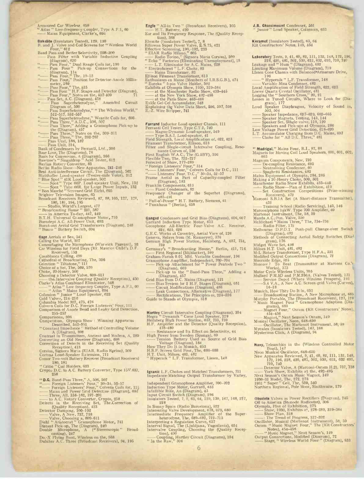Armoured Car Wireless, 658 **"** Atlas " Low-frequency Coupler, Type A.F.1, 60 Bakelie (Insulators Testel), 129, 139<br>
B. and J. Valve and Coil Screens for "Wireless World<br>
Ediswan<br>
Four," 612<br>
B. and Bester Selectivity, 298-300<br>  $\frac{1}{2}$  Effective<br>  $\frac{1}{2}$  Rag Ess Filter with Variable Inductive C Pass Set, A.C. (Diagram), 458<br>
- Pass Superheterodyne," Amended Circuit Exide<br>
- Exis Superheterodyne," The Wireless World,"<br>
- Explain<br>
- Si2-517, 552-557<br>
- Pass Three," A.D.C., 506, 507<br>
- Pass Three," A.D.C., 506, 507 Baylias Rotary Converter, 83<br>
Harlian Radio Show—New Apparatus. 241–240<br>
Best Anti-interference Circuit, The (Diagram), 562<br>
Best Anti-interference Circuit, The (Diagram), 562<br>
"External Voice", 312<br>
"Bue Spot" Type 66P. L Gage Aerials at Sea, 541 Calling the World, 307<br>
Carnouflaging the Microphone (Warwick Pageant), 93<br>
Car Wireless for Field Days (Mr. Maurice Child's D.F.<br>
Receiver), 133<br>
Cashalanca Calling, 490<br>
Cashalanca Calling, 490<br>
Celestion "Tiltatone," 11 - the Intervalve Coupling (Quality Reception), 450 Crid Bis<br>Clarke's Atlas Combined Eliminator, 548 Coupler, Type A.F.1, 60<br>- " Atlas " Mains Equipment, 694<br>Colassion " Junior " Loud Speaker, 633 Colassion " Junior " Loud Cold Valves, 214-216<br>
Columbia Model 307, 475, 476<br>
Columbia Model 307, 475, 476<br>
Colvern Coils for D.C. Foreign Listeners' Four, 111<br>
Comparisons, 306<br>
Competition, Olympia Show : Winning Apparatus<br>
Competition, Olympia S Converting an Old Receiver (Diagram), 698<br>
Correction of Defects in the Receiving Set (Quality<br>
Reception), 413<br>
Corsius, Signora Maria (EIAR, Radio Rorino), 509<br>
H.S.P.: Consinue Loud-Speaker Extension, 711<br>
Cossor Two-vo Cossor I Worth Dattery Receiver (Broadcast Receivers)<br>
"Critic " Coil Holders, 633<br>
Crypto D.C. to A.C. Battery Converter, Type 15V.637,<br>
258 .1).1). Band -Pass Three," A, 506, 507 - Foreign Listeners' Four," 30-34, 52-57 Foreign Listeners' Four," Colvern Coils for, 111 - Mains and Power Grid Detection (Diagram), 68. -- Three, All, 158-162, 197-201 - to A.C. Rotary Converter, Crypto, 258 Ins<br>Defects in the Receiving Set, The Correction of (Quality Reception), 413<br>
In the Unping, 100–102<br>
— Valve, Choosing a, 609–611<br>
— Valve, Choosing a, 609–611<br>
Diehl "Aristocrat" Gramophone Motor, 741<br>
Diehl "Aristocrat" Gramophone Motor, 741<br>
Dietal Pick-up, The (Diagram

- 
- 
- 
- 
- 

Eagle " All -in Two " (Broadcast Receivers), 105<br>H.T. Battery, 420<br>Ear and Its Frequency Response, The (Quality Recep-

- 
- 
- 
- 
- 
- 
- Ebonie (Insulators Tested), 7, 8<br>
Echonie (Insulators Tested), 7, 8<br>
Ediswan Super Power Valve, E.S. 75, 421<br>
Effective Screening, 190,-192, 233<br>
"EIAR Radio Milano," (695<br>
"Ecko" Factories (Eliminating Unemployment), 15<br>
- 
- 
- 
- Farrand Inductor Loud-speaker Chassis, 111<br>Ferranti Cell Tester, Type C.T.2, 740<br>—— Magno-Dynamic Loud-speaker, 449<br>—— Type S.A.I. Loud-speaker, 41<br>Field Strength, Local Amplification of, 622, 623<br>Filament Transformer, Ell Filter and Single-circuit Intervalve Coupling, Reso-<br>
rance Curves of, 156<br>
First English W.A.C., The (G.5BY), 106<br>
Flexible Two, The, 722–727<br>
Forecast of Show, 277–289<br>
"Forecast of Show, 277–289<br>
"Listeners" Four, "D.C (Diagram), 183 Franklin Components, 613
- 
- —— Fixed Condensers, 82<br>
Frequency Changer of the Superhet (Diagrams),<br>
"Full-o'-Power " H.T. Battery, Siemens, 61<br>
" Funkhaus " (Berlin), 635
- 
- Ganged Condensers and Grid Bias (Diagrams), 606, 607 Mazda<br>Gecophone All-Electric Four-Valve A.C. Receiver, McMitchen (624, 625, 626<br>Gecophone All-Electric Four-Valve A.C. Receiver, McMitchen<br>G.E.C. Works at Coventry, Aeri
- -
- 
- <sup>739</sup> Germany's " Broadcasting House," Berlin, 411, 716 - First Regional (Milhlacker), 599 Graham-Farish 0.01 Mfd. Variable Condenser, 196
- Gramophone Amplifier, Independent, 7011-704 Pick-up Attachment for " Power Pentode Two "
- (Diagram), 669<br>Pick-up to the " Band-Pass Three," Adding a Motor
- (Diagram), 457<br>
Grid Bias from D.C. Mains (Diagram), 121<br>
 Bias System for 2 H.F. Stages (Diagram), 651<br>
 Circuit Modifications (Diagram), 486<br>
 Leak Connections, Alternative (Diagram), 177<br>
 Rectifications, The Princi
- 
- 
- 
- 

Hartley Circuit Intervalve Coupling (Diagrams), 104<br>Hegra " Dynamik" " Cone Loud Speaker, 929<br>Heilsberg High Power Station, 657, 733, 739<br>H.F. Amplifier and the Detector (Quality Reception),<br> $\frac{478-180}{M_{\text{NN}}}$ 

- -
- Resistance and Its Effect on Selectivity, 44 High Power from Sweden (Spanga), 69 - Tension Battery Used as Source of Grid Bias<br>Voltage (Diagram), 184<br>How They Do It in Munich, 653 H.S.P. Screen Grid Four, The, 686-688<br>H.S.P. Screen Grid Four, The, 686-688 Neon<br>"Hypernik " L.F. Transformer, Lissen, 148
- 
- 
- 
- 

Igranie L.F. Chokes and Matched Transformers, 711 Impedance -Matching Output Transformer by Varley,

- 
- 
- 
- 741<br>
Independent Gramophone Amplifier, 700–702<br>
Induction Type Motor, Garrard, 633<br>
Infallible Rule, An (Diagram), 43<br>
Input Circuit Switch (Diagram), 296<br>
Insulators Tested, 7, 8, 63, 64, 129, 130, 167, 168, 227, 00
- 
- 228<br>
In Smaly Spain (Radio Barcelona), 522<br>
Interesting Valve Development, 678, 679, 680<br>
Interresting Valve Development, 678, 679, 680<br>
Interpreting a Regulation Curve, 637<br>
Interpreting a Regulation Curve, 637<br>
Interval
	-
- 
- 
- J.B. Chassimount Condenser, 551 " Junior" Loud Speaker, Colassoin, 633
- Keramet (Insulators Tested), 63, 64 Kit Constructors' Notes, 149, 454
- Laboratory Tests, 9, 41, 60, 82, 111, 132, 148, 172, 196, 228, 420, 481, 502, 530, 612, 632, 693, 710, 740
- Leakage and " Hum " (Diagram), 652<br>
Limiting Maximum Volume (Diagram), 719<br>
Lissen Cone Chassis with Balanced<sup>®</sup>Armature Drive, 196<br>
196
- " Hypernik " L.F. Transformer, 148 Variable Mica Condenser, 482
- 
- Local Amplification of Field Strength, 622, 623<br>Loewe Quartz Crystal Oscillator, 481<br>Logging the " Southern Cross," 20, 21<br>Losses in Tuned Circuits, Where to Look for (Dia-
- 
- 
- gram), 177 Loud Speaker Diaphragms, Velocity of Sound in,
- 503, 504<br>
Speaker Impedance, 627–629, 662–665<br>
Speaker Magnets, Testing, 143, 144<br>
Speaker Set, Sthigle-valve, 119, 120<br>
Speakers and Pick-ups at Olympia, 286<br>
Low Voltage Power Grid Detection, 618–620<br>
L.T. Accumulator Ch
- 
- 
- 
- 
- 
- " Madrigal," Mains Four, R.I., 87, 88<br>Magnets for Moving Coil Loud Speakers, 600, 601, 602, 603
- -De -coupling Resistance, 693 Neutralising Condenser, 60 Spaghetti Resistances, 482 Mains Equipment at Olympia, 284, 285
- 
- 
- 
- 
- 
- 
- Making a 20 -Henry Choke, 500, 501<br>
Manchester Radio Show Exhibits, 433-445<br>
 Radio Show -Plan of Exhibition, 419<br>
 Set Construction Competitions (Prize-winning<br>
Receivers), 472<br>
Marconi S.B.1A Set (A Short-distance Tran
- 
- 
- 
- 
- 
- 
- $\frac{432}{12}$  Training School (Radio Servicing), 145, 146<br>Martenot Instrument, The, 58, 59<br>Martenot Instrument, The, 58, 59<br>Mazda A.C./Pen. Valve, 550<br>MeMichael "Mains Three," The, 734–736<br>MeMichael "Mains Three," The, 744
- (Diagram), 482 Methods of Connecting Aerial Safety Switches (Dia-
- gram), 176.<br>Midget Wave Set, 498<br>Milnes H.T. Unit, 481, 482
- 
- 
- 
- 
- 
- 
- 
- M-L Rotary Transformer, Type H.F.A., 531<br>
Modified Output Connections (Diagram), 72<br>
Moorside Edge, 525<br>
Moscow ? To Beat (Transmitter at Marconi Co.'s<br>
Works), 373<br>
Motor Cycle Wireless Units, 705<br>
Mullard P.M.5D and P.M.
- 
- 
- 
- Whusic Magnet Four " Gramophone Adaption (Dia-<br>
grams), 683<br>
 Magnet Four, " Osram (Kit Constructors' Notes),<br>  $454-456$ <br>
 Magnet, " Next Season's Osram, 149<br>
Musical Oscillator, Neon, 648–650<br>
Mysical Oscillator, The M

Nary, Telearchics in the (Wireless Controlled Motor Boat), 147 Neon Musical Oscillator, 648-650 New Apparatus Reviewed, 9, 41, 60, 82, 111, 132, 148, 172, 196, 228, 420, 481, 502, 530, 612, 632 693, 710, 740

- Detector Valve, A (Marconi-Osrani H.2), 737, 738 -- York Show, Exhibits at the, 492-495 Next Season's Osram Music Magnet, 149 1930-31 Model, The, 272, 273 1931 " Super " Cell, The, 539, 540 Northern Regional, Pole Moor, Slaithwaite, 179

**Obsolete** Valves as Power Rectifiers (Diagram), 745<br>Off to America (Stunode Radiostat), 306<br>Olympia, Plan of Exhibition, 275<br>— Show, 1930, Exhibits at, 278-289, 319-364<br>—— Show, 1930, Exhibits at, 278-289, 319-364<br>——: Th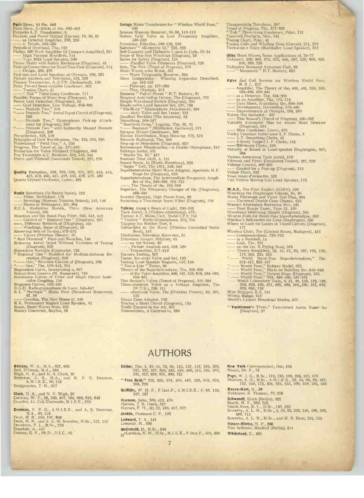P<sup>PP</sup>'s Paris Show, At the, 448<br>
Paris Show, Exhibits at the, 463-4C6<br>
Paris Show, Exhibits at the, 463-4C6<br>
Pentode and Power Output (Curves), 79, 80, 81<br>
Screen<br>
as Detector Ampliner, 238, 239<br>
The 222<br>
Periodical Overhaul, The, Picture Analysis and Television, 528, 520<br>
Picture Analysis and Television, 528, 520<br>
Polar Pre-set Semi-variable Condenser, 502<br>
— Tuning Chart, 41<br>
— Tuning Chart, 41<br>
— "Tub" Three Gang Condenser, 711<br>
Possible Forms o -- Pentode Two," Gramophone Pick-up Attach- ment for (Diagram), 669 -- Pentode Two " with Indirectly Heated Pentode (Diagram), 208 Pre -selection, 516. 519 Principles of Grid Rectification, The, 224, 225, 226 Professional " Field Day," A, 220 Progress, The Trend of, pp. 377-392 Protection for Valve Filament (Diagram), 6410 Pye 'Twintriple A.C. Receiver, 542, 543, 544 Pyrex and Vitreosil (Insulators Tested), 227, 228 Quality Reception, 368, 389, 370, 371, 37?, 413, 414, 415, 416, 450, 451, 453, 453, 478, 479. 460 Quartz Crystal Oscillator, Loewe, 481 Radio Barcelona (In Sunny Spain), 522<br>
-- Filter, McMichael, 172<br>
-- Servicing (Marconi Training School), 145, 146<br>
-- Servicing (Marconi Training School), 145, 146<br>
-- Servicing (Marconi Models, Three (New American Talkin (Diagram), 510 Regentone Portable Eliminator, 132 "Regional One " Modified for Medium-distance Re-<br>
ception (Diagram), 249<br>
"
cone," Reaction Control of (Diagram), 295<br>
"
(Dee," The, 128-142, 314<br>
"
Regulation Curve, Interpreting a, 637<br>
Relays from Geneva (M. Ramseyer), Response Curves, 163-166 R.G.D. Radiogramophone de Luxe, 545-547 R.I. " Madrigal " Mains Four (Broadcast Receivers), 87, 88 - Croydon, The New Home of, 166<br>R.K. Permanent Magnet Loud Speaker, 61<br>Rome, Short Waves from, 631<br>Rotary Converter, Bayliss, 63

Savage Mains Transformer for " Wireless World Four," The<br>530 Science Museum Receiver, 96-99, 116-118 The Screen Grid Valve as Low Frequency Amplifier, T<br>536-538<br>Screening, Effective, 190-192, 233<br>Selectors' " All-electric 55,'' 222, 223 Self-Capacity and Dielectric l.osses in Coils, 22–24<br>Sense of Reaction Windings (Diagram), 28 Sense of Reaction Windings (Diagram), 155 --Parallel Valve Filaments (Diagram), 720 Sets, The New Mend of Progress), 378 Short Waves groin Rome, 6:11 -- Wave Telegraphic Receiver, 634 Show Competition : Winning Apparatus Described, pp. 542-551 - Forecast, pp. 277-289 - Plan, Olympia, 319 Siemens " Full -o -Power " H.T. Battery, 61 Simplest Anti -fading Device, The (Diagram), 372 Simple Waveband Switch (Diagram), 365 Single -valve Loud Speaker Set, 119, 129 "Six -Sixty " Gramophone Attachment, 694 - -sixty Valve and Set lester, 133 Smallest Rectifier (The Arcotron), 62 Smoothing, 564-567 " Southern Cross," Logging, The, 20, 21<br>"---- Regional " (Mühlacker, Germany), 571 Sprague Midget Condensers, 502 Station Distribution, Maps Showing, 272, 273<br>
Stenode Radiostat, The, 306<br>
Step-up or Step-down (Diagram), 616<br>
Step-up or Step-down (Diagram), 616<br>
Stiktape Aerlal, 531<br>
Stiktape Aerlal, 531<br>
Stiktape Aerlal, 531<br>
"Studi Talking Along a Beam of Light, 200–202<br>Tank Aerial, A (Vickers-Armstrone), 473<br>Tannoy A.C. Mains Unit. Model CP.2, 740<br>"Tannoy " Radio Gramophone, 253, 254<br>"Teping the Rubber Tree, 8<br>Telearchise in the Navy (Wireless Contr Telefunken Television Receivers, (15 Television Images, Brighter, 65 - on the Screen, 39 ' --, Picture Analysis and, 528, 529 - -- Transmitter, 217-219 Terriers Testing, 307 Tester, Six -sixty Valve and Set, 133 Testing Loud Speaker Magnets, 143, 144 Test-o-Lite " Tester, 60 Theory of the Superheterodyne, The, 393-396  $\begin{array}{r} \text{---} \text{ of the Value Amplifier, } 460, 461, 558, 659, 584-586, \text{...} \\ 659-601 & 594-684 \text{.} \\ \text{This Second's Values (Trend of Progress), 330-392} \\ \text{Three-electrode Value as a Voltage Amplifier, The \\ \text{---} \text{-.} \\ \text{---} \text{.} \\ \text{---} \text{.} \\ \text{---} \text{.} \\ \text{---} \text{.} \\ \text{---} \text{.} \\ \end{array}$ 

<sup>123</sup> Tonax Cone Adaptor, 710 Tracing a Short Circuit (Diagram), 135 Traffic Control in the Air, 307 Transmitters, A Contrast in, 289

Transportable Television, 307<br>Trend of Progress, The, 377–392<br>"Tub " Three-Gang Condenser, Polar, 711<br>Tunewell Products, New, 741<br>Tuning Colls and Winding Data (Curves), 211, 213<br>Twelve-mi e Voice (Blatthaller Loud Speaker Ultra Short Waves, Some Applications of, 74–77<br>Unbiased, 293, 305, 374, 375, 406, 497, 526, 608, 655,<br>Unlimitex Balanced Armature Unit, 82<br>Thilinitex Balanced Armature Unit, 82<br>—— "Mammoth " H.T. Battery, 632 Valve and Coil Sereens for Wireless World Four,<br>  $\rightarrow$  B. & J., 012<br>  $\rightarrow$  Amplifier, The Theory of the, 400, 401, 558, 559,<br>  $\rightarrow$  584-586, 659-661<br>
as a Detector, The, 204-206<br>
as an Amplifier, The, 173, 174<br>  $\rightarrow$  Data She - Improvements at Olympia, 288, 289 Valves Not Included 1 <sup>307</sup> - This Season's (Trend of Progress), 390-392 Variable Automatic Bias for Anode Berri Detector (Diagram), 534 - Mica Condenser, Lissen, 492 Varley Constant Inductance I..F. Choke, 9 - L.T. Smoothing Choke, 41 -3 -henry Tapped I..F. Choke, 741 300 -henry Choke, 229 Velocity of Sound in Loud -speaker Diaphragms, 503, Vickers-Armstrong Tank Aerial, 473<br>Vitreosil and Pyrex (Insulators Tested), 227, 228<br>Volume Control, 400–405<br>Volume Control, 400–405<br>Coust Control (Polite Pick-up (Diagram), 112<br>Volume Picker (Pentendre, 523<br>Vox Veritas Mo W.A.C., The First English (G5BV), 106<br>Watching the Diaphragm Vibrate, 85, 86<br>Wates Polyscope and Valve Test Plug, 694<br>Wates Polyscope and Valve Test Plug, 694<br>Watmei Aluminium Screening Box, 481<br>Water Manner Tuner, Type 31 Wireless Chair, The (Control Room, Budapest), 412<br>
— Communications, 729-732<br>
— in a Nushshl, 14<br>
— Link, The, 271<br>
— Link, The, 271<br>
— Theory Simplified, 22, 44, 67, 89, 107, 123, 150,<br>
173, 204, 224, 255<br>
—— World Band-

" Yachtsman's Three," Two -circuit Aerial Tuner fat (Diagram), 27

# **Barclay, W. A., M.A., 627, 662<br>Bell, D'Orsay, M.A., 539<br>Bligh, N. R., and K. A. Clark, 20<br>Brereton, A. S., M.A., and R. P. G. Denman, A. A. A. L.E.E., 96, 116** Bridgewater, T. H., 217

Clark, H. A., and N. R. Bligh, 20 Cocking, W. T., 10, 100, 407, 564, (109, 618, 640 Crawley, Lt. -Col. Chetwode, M.I.E.E., 729

Denman, R. P. G., A.M.I.E.E., and A. S. Brereton,<br>
M.A., 96, 116<br>
Dent, H. B., and A. L. M. Sowerby, M.Sc., 512, 552 Ledw<br>
Devereux, F. L., B.Sc., 270<br>
Dinsdale, A., 447<br>
Dinsdale, A., Ph.D., D.I.C., 85.<br>
Dinsdale, A., Ph.

Editor, The, 1, 29, 51, 73, 95, 115, 137, 157, 185, 209, 237, 297, 397, 397, 398, 511, 535, 563, 209, 591, 69

AUTHORS

- " Free Grid," 293, 305, 374, 406, 497, 526, 655, 656, 700, 728
- Griffiths, W. H. F., F.Inst.P., A.M.I.E.E., 7, 63, 129,  $-\frac{R}{F}$

Harmon, John, 368, 413, 478 Harries, J. H. Owen, 527 ilaynes, F. H., 30, 52, 426, 467, 672 Jenkin, Professor C. F., 163

Lsdward, T. A., 143 Leeuwin, M., 290

McDonald, D., B.Sc., 538 McLachlan, N. W., D.Sc., NIL E.E., F.Inst.P., 503, 600

New York Correspondent, Our, 492 Noack, Dr. F., 74

Page, W. I. G., B.Sc., 119, 138, 186, 298, 518, 678<br>Pearson, S. O., B.Sc., A.M.I.E.E., 22, 44, 66, 89, 107,<br>123, 150, 173, 204, 224, 255, 460, 558, 584, 659

Raven -Hart, R., 58 Robinson, E. Yeoman, 79, 238

\$chwandt, Erich (Berlin), 622<br>Smith, H. F., 309, 722<br>Smith-Rose, R. L., D.Sc., 190, 232<br>Sowerhy, A. L. M., M.Sc., 2, 19, 35, 210, 240, 488, 592,<br>689, 712<br>689, 712

Sowerbv, A. L. M., M.Sc., and H. B. Dent, 512, 552

Vincer-Minter, N. P., 700<br>Von Ardenne, Manfred (Berlin), 214

Whitehead, C., 400